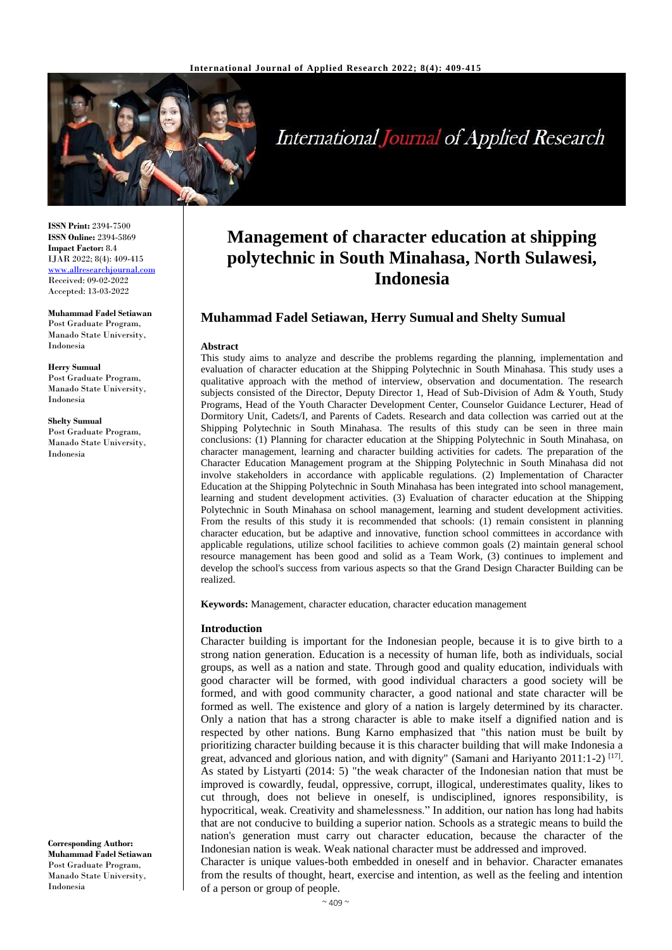

International Journal of Applied Research

**ISSN Print:** 2394-7500 **ISSN Online:** 2394-5869 **Impact Factor:** 8.4 IJAR 2022; 8(4): 409-415 <www.allresearchjournal.com> Received: 09-02-2022 Accepted: 13-03-2022

**Muhammad Fadel Setiawan**  Post Graduate Program, Manado State University, Indonesia

**Herry Sumual** Post Graduate Program, Manado State University, Indonesia

**Shelty Sumual** Post Graduate Program, Manado State University, Indonesia

**Corresponding Author: Muhammad Fadel Setiawan**  Post Graduate Program, Manado State University, Indonesia

# **Management of character education at shipping polytechnic in South Minahasa, North Sulawesi, Indonesia**

# **Muhammad Fadel Setiawan, Herry Sumual and Shelty Sumual**

#### **Abstract**

This study aims to analyze and describe the problems regarding the planning, implementation and evaluation of character education at the Shipping Polytechnic in South Minahasa. This study uses a qualitative approach with the method of interview, observation and documentation. The research subjects consisted of the Director, Deputy Director 1, Head of Sub-Division of Adm & Youth, Study Programs, Head of the Youth Character Development Center, Counselor Guidance Lecturer, Head of Dormitory Unit, Cadets/I, and Parents of Cadets. Research and data collection was carried out at the Shipping Polytechnic in South Minahasa. The results of this study can be seen in three main conclusions: (1) Planning for character education at the Shipping Polytechnic in South Minahasa, on character management, learning and character building activities for cadets. The preparation of the Character Education Management program at the Shipping Polytechnic in South Minahasa did not involve stakeholders in accordance with applicable regulations. (2) Implementation of Character Education at the Shipping Polytechnic in South Minahasa has been integrated into school management, learning and student development activities. (3) Evaluation of character education at the Shipping Polytechnic in South Minahasa on school management, learning and student development activities. From the results of this study it is recommended that schools: (1) remain consistent in planning character education, but be adaptive and innovative, function school committees in accordance with applicable regulations, utilize school facilities to achieve common goals (2) maintain general school resource management has been good and solid as a Team Work, (3) continues to implement and develop the school's success from various aspects so that the Grand Design Character Building can be realized.

**Keywords:** Management, character education, character education management

#### **Introduction**

Character building is important for the Indonesian people, because it is to give birth to a strong nation generation. Education is a necessity of human life, both as individuals, social groups, as well as a nation and state. Through good and quality education, individuals with good character will be formed, with good individual characters a good society will be formed, and with good community character, a good national and state character will be formed as well. The existence and glory of a nation is largely determined by its character. Only a nation that has a strong character is able to make itself a dignified nation and is respected by other nations. Bung Karno emphasized that "this nation must be built by prioritizing character building because it is this character building that will make Indonesia a great, advanced and glorious nation, and with dignity" (Samani and Hariyanto 2011:1-2)  $^{[17]}$ . As stated by Listyarti (2014: 5) "the weak character of the Indonesian nation that must be improved is cowardly, feudal, oppressive, corrupt, illogical, underestimates quality, likes to cut through, does not believe in oneself, is undisciplined, ignores responsibility, is hypocritical, weak. Creativity and shamelessness." In addition, our nation has long had habits that are not conducive to building a superior nation. Schools as a strategic means to build the nation's generation must carry out character education, because the character of the Indonesian nation is weak. Weak national character must be addressed and improved. Character is unique values-both embedded in oneself and in behavior. Character emanates from the results of thought, heart, exercise and intention, as well as the feeling and intention

of a person or group of people.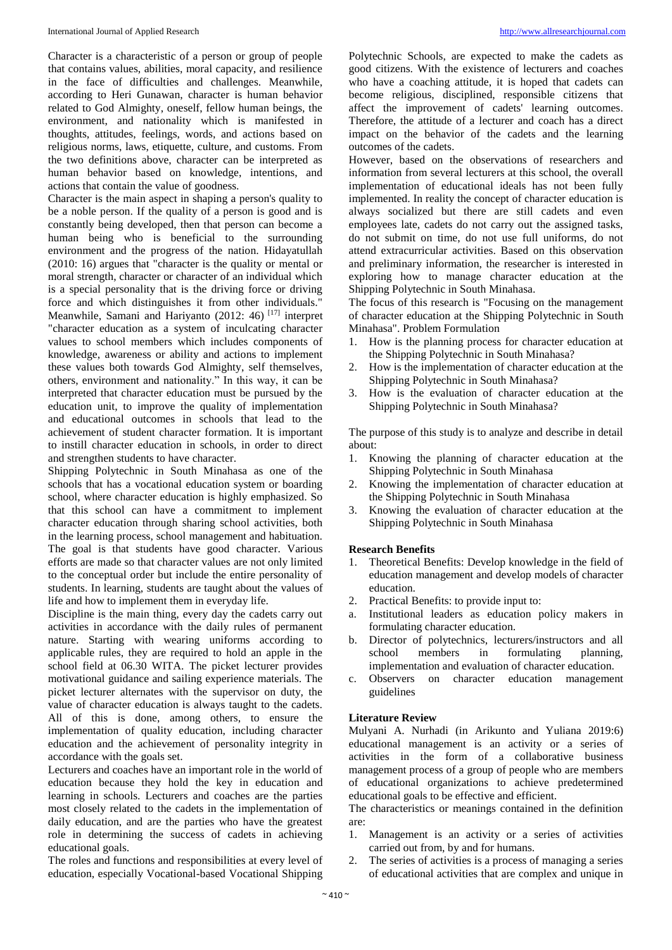Character is a characteristic of a person or group of people that contains values, abilities, moral capacity, and resilience in the face of difficulties and challenges. Meanwhile, according to Heri Gunawan, character is human behavior related to God Almighty, oneself, fellow human beings, the environment, and nationality which is manifested in thoughts, attitudes, feelings, words, and actions based on religious norms, laws, etiquette, culture, and customs. From the two definitions above, character can be interpreted as human behavior based on knowledge, intentions, and actions that contain the value of goodness.

Character is the main aspect in shaping a person's quality to be a noble person. If the quality of a person is good and is constantly being developed, then that person can become a human being who is beneficial to the surrounding environment and the progress of the nation. Hidayatullah (2010: 16) argues that "character is the quality or mental or moral strength, character or character of an individual which is a special personality that is the driving force or driving force and which distinguishes it from other individuals." Meanwhile, Samani and Hariyanto (2012: 46)<sup>[17]</sup> interpret "character education as a system of inculcating character values to school members which includes components of knowledge, awareness or ability and actions to implement these values both towards God Almighty, self themselves, others, environment and nationality." In this way, it can be interpreted that character education must be pursued by the education unit, to improve the quality of implementation and educational outcomes in schools that lead to the achievement of student character formation. It is important to instill character education in schools, in order to direct and strengthen students to have character.

Shipping Polytechnic in South Minahasa as one of the schools that has a vocational education system or boarding school, where character education is highly emphasized. So that this school can have a commitment to implement character education through sharing school activities, both in the learning process, school management and habituation. The goal is that students have good character. Various efforts are made so that character values are not only limited to the conceptual order but include the entire personality of students. In learning, students are taught about the values of life and how to implement them in everyday life.

Discipline is the main thing, every day the cadets carry out activities in accordance with the daily rules of permanent nature. Starting with wearing uniforms according to applicable rules, they are required to hold an apple in the school field at 06.30 WITA. The picket lecturer provides motivational guidance and sailing experience materials. The picket lecturer alternates with the supervisor on duty, the value of character education is always taught to the cadets. All of this is done, among others, to ensure the implementation of quality education, including character education and the achievement of personality integrity in accordance with the goals set.

Lecturers and coaches have an important role in the world of education because they hold the key in education and learning in schools. Lecturers and coaches are the parties most closely related to the cadets in the implementation of daily education, and are the parties who have the greatest role in determining the success of cadets in achieving educational goals.

The roles and functions and responsibilities at every level of education, especially Vocational-based Vocational Shipping

Polytechnic Schools, are expected to make the cadets as good citizens. With the existence of lecturers and coaches who have a coaching attitude, it is hoped that cadets can become religious, disciplined, responsible citizens that affect the improvement of cadets' learning outcomes. Therefore, the attitude of a lecturer and coach has a direct impact on the behavior of the cadets and the learning outcomes of the cadets.

However, based on the observations of researchers and information from several lecturers at this school, the overall implementation of educational ideals has not been fully implemented. In reality the concept of character education is always socialized but there are still cadets and even employees late, cadets do not carry out the assigned tasks, do not submit on time, do not use full uniforms, do not attend extracurricular activities. Based on this observation and preliminary information, the researcher is interested in exploring how to manage character education at the Shipping Polytechnic in South Minahasa.

The focus of this research is "Focusing on the management of character education at the Shipping Polytechnic in South Minahasa". Problem Formulation

- 1. How is the planning process for character education at the Shipping Polytechnic in South Minahasa?
- 2. How is the implementation of character education at the Shipping Polytechnic in South Minahasa?
- 3. How is the evaluation of character education at the Shipping Polytechnic in South Minahasa?

The purpose of this study is to analyze and describe in detail about:

- 1. Knowing the planning of character education at the Shipping Polytechnic in South Minahasa
- 2. Knowing the implementation of character education at the Shipping Polytechnic in South Minahasa
- 3. Knowing the evaluation of character education at the Shipping Polytechnic in South Minahasa

### **Research Benefits**

- 1. Theoretical Benefits: Develop knowledge in the field of education management and develop models of character education.
- 2. Practical Benefits: to provide input to:
- Institutional leaders as education policy makers in formulating character education.
- b. Director of polytechnics, lecturers/instructors and all school members in formulating planning, implementation and evaluation of character education.
- c. Observers on character education management guidelines

### **Literature Review**

Mulyani A. Nurhadi (in Arikunto and Yuliana 2019:6) educational management is an activity or a series of activities in the form of a collaborative business management process of a group of people who are members of educational organizations to achieve predetermined educational goals to be effective and efficient.

The characteristics or meanings contained in the definition are:

- 1. Management is an activity or a series of activities carried out from, by and for humans.
- 2. The series of activities is a process of managing a series of educational activities that are complex and unique in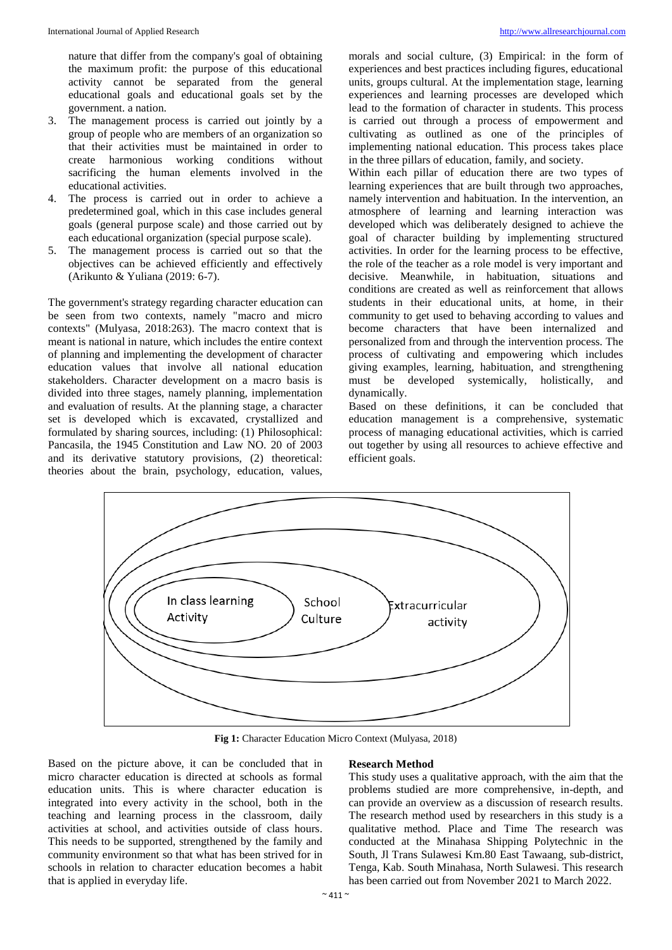nature that differ from the company's goal of obtaining the maximum profit: the purpose of this educational activity cannot be separated from the general educational goals and educational goals set by the government. a nation.

- 3. The management process is carried out jointly by a group of people who are members of an organization so that their activities must be maintained in order to create harmonious working conditions without sacrificing the human elements involved in the educational activities.
- 4. The process is carried out in order to achieve a predetermined goal, which in this case includes general goals (general purpose scale) and those carried out by each educational organization (special purpose scale).
- 5. The management process is carried out so that the objectives can be achieved efficiently and effectively (Arikunto & Yuliana (2019: 6-7).

The government's strategy regarding character education can be seen from two contexts, namely "macro and micro contexts" (Mulyasa, 2018:263). The macro context that is meant is national in nature, which includes the entire context of planning and implementing the development of character education values that involve all national education stakeholders. Character development on a macro basis is divided into three stages, namely planning, implementation and evaluation of results. At the planning stage, a character set is developed which is excavated, crystallized and formulated by sharing sources, including: (1) Philosophical: Pancasila, the 1945 Constitution and Law NO. 20 of 2003 and its derivative statutory provisions, (2) theoretical: theories about the brain, psychology, education, values,

morals and social culture, (3) Empirical: in the form of experiences and best practices including figures, educational units, groups cultural. At the implementation stage, learning experiences and learning processes are developed which lead to the formation of character in students. This process is carried out through a process of empowerment and cultivating as outlined as one of the principles of implementing national education. This process takes place in the three pillars of education, family, and society.

Within each pillar of education there are two types of learning experiences that are built through two approaches, namely intervention and habituation. In the intervention, an atmosphere of learning and learning interaction was developed which was deliberately designed to achieve the goal of character building by implementing structured activities. In order for the learning process to be effective, the role of the teacher as a role model is very important and decisive. Meanwhile, in habituation, situations and conditions are created as well as reinforcement that allows students in their educational units, at home, in their community to get used to behaving according to values and become characters that have been internalized and personalized from and through the intervention process. The process of cultivating and empowering which includes giving examples, learning, habituation, and strengthening must be developed systemically, holistically, and dynamically.

Based on these definitions, it can be concluded that education management is a comprehensive, systematic process of managing educational activities, which is carried out together by using all resources to achieve effective and efficient goals.



**Fig 1:** Character Education Micro Context (Mulyasa, 2018)

Based on the picture above, it can be concluded that in micro character education is directed at schools as formal education units. This is where character education is integrated into every activity in the school, both in the teaching and learning process in the classroom, daily activities at school, and activities outside of class hours. This needs to be supported, strengthened by the family and community environment so that what has been strived for in schools in relation to character education becomes a habit that is applied in everyday life.

### **Research Method**

This study uses a qualitative approach, with the aim that the problems studied are more comprehensive, in-depth, and can provide an overview as a discussion of research results. The research method used by researchers in this study is a qualitative method. Place and Time The research was conducted at the Minahasa Shipping Polytechnic in the South, Jl Trans Sulawesi Km.80 East Tawaang, sub-district, Tenga, Kab. South Minahasa, North Sulawesi. This research has been carried out from November 2021 to March 2022.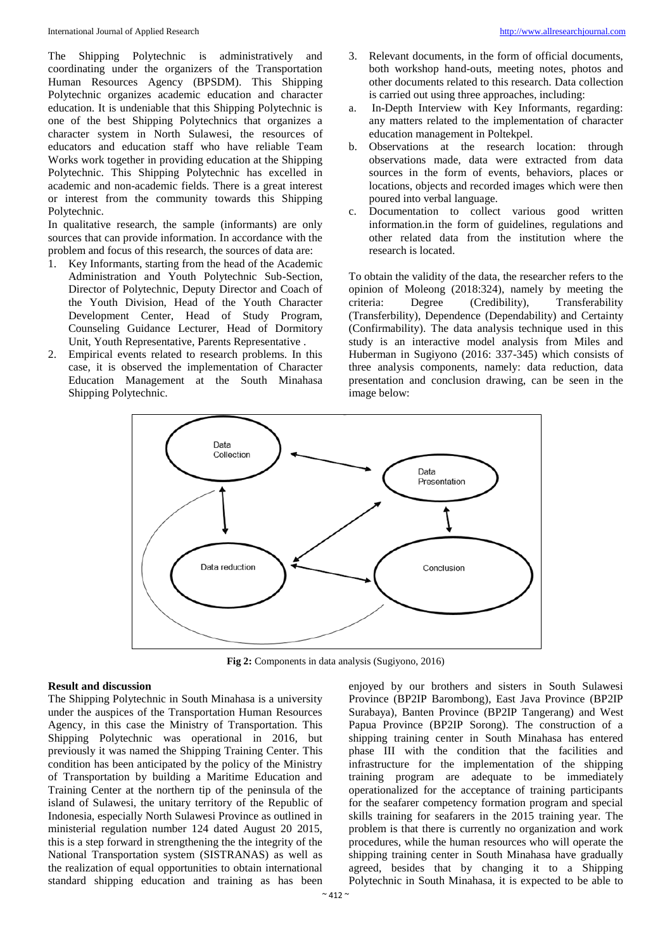The Shipping Polytechnic is administratively and coordinating under the organizers of the Transportation Human Resources Agency (BPSDM). This Shipping Polytechnic organizes academic education and character education. It is undeniable that this Shipping Polytechnic is one of the best Shipping Polytechnics that organizes a character system in North Sulawesi, the resources of educators and education staff who have reliable Team Works work together in providing education at the Shipping Polytechnic. This Shipping Polytechnic has excelled in academic and non-academic fields. There is a great interest or interest from the community towards this Shipping Polytechnic.

In qualitative research, the sample (informants) are only sources that can provide information. In accordance with the problem and focus of this research, the sources of data are:

- 1. Key Informants, starting from the head of the Academic Administration and Youth Polytechnic Sub-Section, Director of Polytechnic, Deputy Director and Coach of the Youth Division, Head of the Youth Character Development Center, Head of Study Program, Counseling Guidance Lecturer, Head of Dormitory Unit, Youth Representative, Parents Representative .
- 2. Empirical events related to research problems. In this case, it is observed the implementation of Character Education Management at the South Minahasa Shipping Polytechnic.
- 3. Relevant documents, in the form of official documents, both workshop hand-outs, meeting notes, photos and other documents related to this research. Data collection is carried out using three approaches, including:
- a. In-Depth Interview with Key Informants, regarding: any matters related to the implementation of character education management in Poltekpel.
- b. Observations at the research location: through observations made, data were extracted from data sources in the form of events, behaviors, places or locations, objects and recorded images which were then poured into verbal language.
- c. Documentation to collect various good written information.in the form of guidelines, regulations and other related data from the institution where the research is located.

To obtain the validity of the data, the researcher refers to the opinion of Moleong (2018:324), namely by meeting the criteria: Degree (Credibility), Transferability (Transferbility), Dependence (Dependability) and Certainty (Confirmability). The data analysis technique used in this study is an interactive model analysis from Miles and Huberman in Sugiyono (2016: 337-345) which consists of three analysis components, namely: data reduction, data presentation and conclusion drawing, can be seen in the image below:



**Fig 2:** Components in data analysis (Sugiyono, 2016)

### **Result and discussion**

The Shipping Polytechnic in South Minahasa is a university under the auspices of the Transportation Human Resources Agency, in this case the Ministry of Transportation. This Shipping Polytechnic was operational in 2016, but previously it was named the Shipping Training Center. This condition has been anticipated by the policy of the Ministry of Transportation by building a Maritime Education and Training Center at the northern tip of the peninsula of the island of Sulawesi, the unitary territory of the Republic of Indonesia, especially North Sulawesi Province as outlined in ministerial regulation number 124 dated August 20 2015, this is a step forward in strengthening the the integrity of the National Transportation system (SISTRANAS) as well as the realization of equal opportunities to obtain international standard shipping education and training as has been

enjoyed by our brothers and sisters in South Sulawesi Province (BP2IP Barombong), East Java Province (BP2IP Surabaya), Banten Province (BP2IP Tangerang) and West Papua Province (BP2IP Sorong). The construction of a shipping training center in South Minahasa has entered phase III with the condition that the facilities and infrastructure for the implementation of the shipping training program are adequate to be immediately operationalized for the acceptance of training participants for the seafarer competency formation program and special skills training for seafarers in the 2015 training year. The problem is that there is currently no organization and work procedures, while the human resources who will operate the shipping training center in South Minahasa have gradually agreed, besides that by changing it to a Shipping Polytechnic in South Minahasa, it is expected to be able to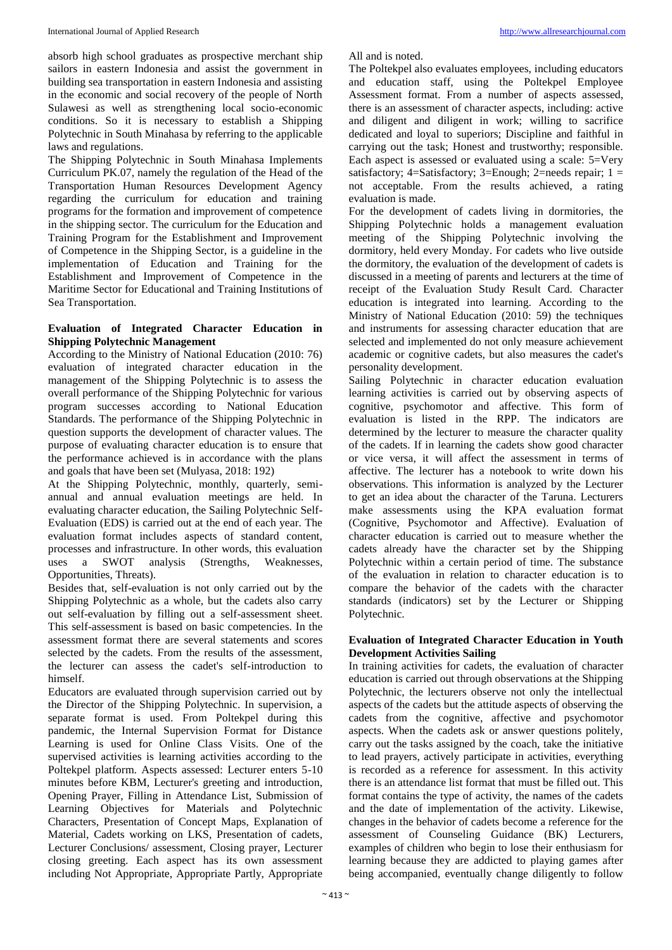absorb high school graduates as prospective merchant ship sailors in eastern Indonesia and assist the government in building sea transportation in eastern Indonesia and assisting in the economic and social recovery of the people of North Sulawesi as well as strengthening local socio-economic conditions. So it is necessary to establish a Shipping Polytechnic in South Minahasa by referring to the applicable laws and regulations.

The Shipping Polytechnic in South Minahasa Implements Curriculum PK.07, namely the regulation of the Head of the Transportation Human Resources Development Agency regarding the curriculum for education and training programs for the formation and improvement of competence in the shipping sector. The curriculum for the Education and Training Program for the Establishment and Improvement of Competence in the Shipping Sector, is a guideline in the implementation of Education and Training for the Establishment and Improvement of Competence in the Maritime Sector for Educational and Training Institutions of Sea Transportation.

## **Evaluation of Integrated Character Education in Shipping Polytechnic Management**

According to the Ministry of National Education (2010: 76) evaluation of integrated character education in the management of the Shipping Polytechnic is to assess the overall performance of the Shipping Polytechnic for various program successes according to National Education Standards. The performance of the Shipping Polytechnic in question supports the development of character values. The purpose of evaluating character education is to ensure that the performance achieved is in accordance with the plans and goals that have been set (Mulyasa, 2018: 192)

At the Shipping Polytechnic, monthly, quarterly, semiannual and annual evaluation meetings are held. In evaluating character education, the Sailing Polytechnic Self-Evaluation (EDS) is carried out at the end of each year. The evaluation format includes aspects of standard content, processes and infrastructure. In other words, this evaluation<br>uses a SWOT analysis (Strengths, Weaknesses, analysis (Strengths, Weaknesses, Opportunities, Threats).

Besides that, self-evaluation is not only carried out by the Shipping Polytechnic as a whole, but the cadets also carry out self-evaluation by filling out a self-assessment sheet. This self-assessment is based on basic competencies. In the assessment format there are several statements and scores selected by the cadets. From the results of the assessment, the lecturer can assess the cadet's self-introduction to himself.

Educators are evaluated through supervision carried out by the Director of the Shipping Polytechnic. In supervision, a separate format is used. From Poltekpel during this pandemic, the Internal Supervision Format for Distance Learning is used for Online Class Visits. One of the supervised activities is learning activities according to the Poltekpel platform. Aspects assessed: Lecturer enters 5-10 minutes before KBM, Lecturer's greeting and introduction, Opening Prayer, Filling in Attendance List, Submission of Learning Objectives for Materials and Polytechnic Characters, Presentation of Concept Maps, Explanation of Material, Cadets working on LKS, Presentation of cadets, Lecturer Conclusions/ assessment, Closing prayer, Lecturer closing greeting. Each aspect has its own assessment including Not Appropriate, Appropriate Partly, Appropriate

All and is noted.

The Poltekpel also evaluates employees, including educators and education staff, using the Poltekpel Employee Assessment format. From a number of aspects assessed, there is an assessment of character aspects, including: active and diligent and diligent in work; willing to sacrifice dedicated and loyal to superiors; Discipline and faithful in carrying out the task; Honest and trustworthy; responsible. Each aspect is assessed or evaluated using a scale: 5=Very satisfactory; 4=Satisfactory; 3=Enough; 2=needs repair; 1 = not acceptable. From the results achieved, a rating evaluation is made.

For the development of cadets living in dormitories, the Shipping Polytechnic holds a management evaluation meeting of the Shipping Polytechnic involving the dormitory, held every Monday. For cadets who live outside the dormitory, the evaluation of the development of cadets is discussed in a meeting of parents and lecturers at the time of receipt of the Evaluation Study Result Card. Character education is integrated into learning. According to the Ministry of National Education (2010: 59) the techniques and instruments for assessing character education that are selected and implemented do not only measure achievement academic or cognitive cadets, but also measures the cadet's personality development.

Sailing Polytechnic in character education evaluation learning activities is carried out by observing aspects of cognitive, psychomotor and affective. This form of evaluation is listed in the RPP. The indicators are determined by the lecturer to measure the character quality of the cadets. If in learning the cadets show good character or vice versa, it will affect the assessment in terms of affective. The lecturer has a notebook to write down his observations. This information is analyzed by the Lecturer to get an idea about the character of the Taruna. Lecturers make assessments using the KPA evaluation format (Cognitive, Psychomotor and Affective). Evaluation of character education is carried out to measure whether the cadets already have the character set by the Shipping Polytechnic within a certain period of time. The substance of the evaluation in relation to character education is to compare the behavior of the cadets with the character standards (indicators) set by the Lecturer or Shipping Polytechnic.

## **Evaluation of Integrated Character Education in Youth Development Activities Sailing**

In training activities for cadets, the evaluation of character education is carried out through observations at the Shipping Polytechnic, the lecturers observe not only the intellectual aspects of the cadets but the attitude aspects of observing the cadets from the cognitive, affective and psychomotor aspects. When the cadets ask or answer questions politely, carry out the tasks assigned by the coach, take the initiative to lead prayers, actively participate in activities, everything is recorded as a reference for assessment. In this activity there is an attendance list format that must be filled out. This format contains the type of activity, the names of the cadets and the date of implementation of the activity. Likewise, changes in the behavior of cadets become a reference for the assessment of Counseling Guidance (BK) Lecturers, examples of children who begin to lose their enthusiasm for learning because they are addicted to playing games after being accompanied, eventually change diligently to follow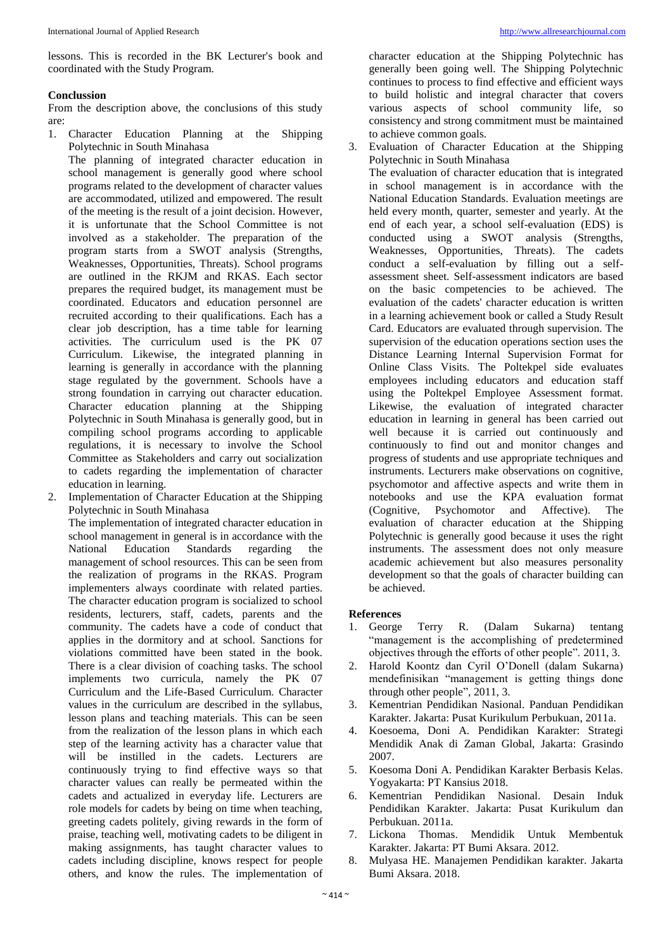lessons. This is recorded in the BK Lecturer's book and coordinated with the Study Program.

### **Conclussion**

From the description above, the conclusions of this study are:

1. Character Education Planning at the Shipping Polytechnic in South Minahasa

The planning of integrated character education in school management is generally good where school programs related to the development of character values are accommodated, utilized and empowered. The result of the meeting is the result of a joint decision. However, it is unfortunate that the School Committee is not involved as a stakeholder. The preparation of the program starts from a SWOT analysis (Strengths, Weaknesses, Opportunities, Threats). School programs are outlined in the RKJM and RKAS. Each sector prepares the required budget, its management must be coordinated. Educators and education personnel are recruited according to their qualifications. Each has a clear job description, has a time table for learning activities. The curriculum used is the PK 07 Curriculum. Likewise, the integrated planning in learning is generally in accordance with the planning stage regulated by the government. Schools have a strong foundation in carrying out character education. Character education planning at the Shipping Polytechnic in South Minahasa is generally good, but in compiling school programs according to applicable regulations, it is necessary to involve the School Committee as Stakeholders and carry out socialization to cadets regarding the implementation of character education in learning.

Implementation of Character Education at the Shipping Polytechnic in South Minahasa

The implementation of integrated character education in school management in general is in accordance with the National Education Standards regarding the management of school resources. This can be seen from the realization of programs in the RKAS. Program implementers always coordinate with related parties. The character education program is socialized to school residents, lecturers, staff, cadets, parents and the community. The cadets have a code of conduct that applies in the dormitory and at school. Sanctions for violations committed have been stated in the book. There is a clear division of coaching tasks. The school implements two curricula, namely the PK 07 Curriculum and the Life-Based Curriculum. Character values in the curriculum are described in the syllabus, lesson plans and teaching materials. This can be seen from the realization of the lesson plans in which each step of the learning activity has a character value that will be instilled in the cadets. Lecturers are continuously trying to find effective ways so that character values can really be permeated within the cadets and actualized in everyday life. Lecturers are role models for cadets by being on time when teaching, greeting cadets politely, giving rewards in the form of praise, teaching well, motivating cadets to be diligent in making assignments, has taught character values to cadets including discipline, knows respect for people others, and know the rules. The implementation of

character education at the Shipping Polytechnic has generally been going well. The Shipping Polytechnic continues to process to find effective and efficient ways to build holistic and integral character that covers various aspects of school community life, so consistency and strong commitment must be maintained to achieve common goals.

3. Evaluation of Character Education at the Shipping Polytechnic in South Minahasa

The evaluation of character education that is integrated in school management is in accordance with the National Education Standards. Evaluation meetings are held every month, quarter, semester and yearly. At the end of each year, a school self-evaluation (EDS) is conducted using a SWOT analysis (Strengths, Weaknesses, Opportunities, Threats). The cadets conduct a self-evaluation by filling out a selfassessment sheet. Self-assessment indicators are based on the basic competencies to be achieved. The evaluation of the cadets' character education is written in a learning achievement book or called a Study Result Card. Educators are evaluated through supervision. The supervision of the education operations section uses the Distance Learning Internal Supervision Format for Online Class Visits. The Poltekpel side evaluates employees including educators and education staff using the Poltekpel Employee Assessment format. Likewise, the evaluation of integrated character education in learning in general has been carried out well because it is carried out continuously and continuously to find out and monitor changes and progress of students and use appropriate techniques and instruments. Lecturers make observations on cognitive, psychomotor and affective aspects and write them in notebooks and use the KPA evaluation format (Cognitive, Psychomotor and Affective). The evaluation of character education at the Shipping Polytechnic is generally good because it uses the right instruments. The assessment does not only measure academic achievement but also measures personality development so that the goals of character building can be achieved.

### **References**

- 1. George Terry R. (Dalam Sukarna) tentang "management is the accomplishing of predetermined objectives through the efforts of other people". 2011, 3.
- 2. Harold Koontz dan Cyril O'Donell (dalam Sukarna) mendefinisikan "management is getting things done through other people", 2011, 3.
- 3. Kementrian Pendidikan Nasional. Panduan Pendidikan Karakter. Jakarta: Pusat Kurikulum Perbukuan, 2011a.
- 4. Koesoema, Doni A. Pendidikan Karakter: Strategi Mendidik Anak di Zaman Global, Jakarta: Grasindo 2007.
- 5. Koesoma Doni A. Pendidikan Karakter Berbasis Kelas. Yogyakarta: PT Kansius 2018.
- 6. Kementrian Pendidikan Nasional. Desain Induk Pendidikan Karakter. Jakarta: Pusat Kurikulum dan Perbukuan. 2011a.
- 7. Lickona Thomas. Mendidik Untuk Membentuk Karakter. Jakarta: PT Bumi Aksara. 2012.
- 8. Mulyasa HE. Manajemen Pendidikan karakter. Jakarta Bumi Aksara. 2018.